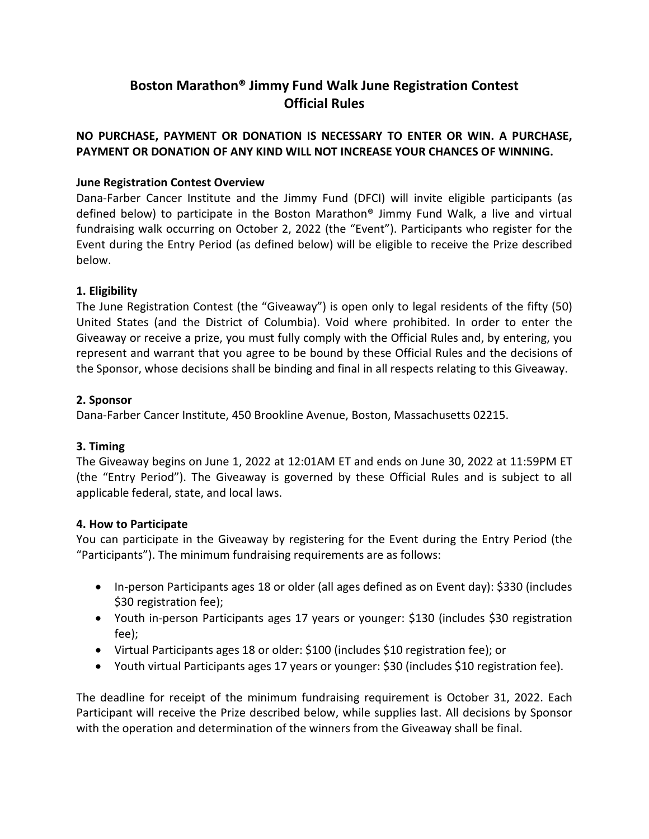# **Boston Marathon® Jimmy Fund Walk June Registration Contest Official Rules**

# **NO PURCHASE, PAYMENT OR DONATION IS NECESSARY TO ENTER OR WIN. A PURCHASE, PAYMENT OR DONATION OF ANY KIND WILL NOT INCREASE YOUR CHANCES OF WINNING.**

# **June Registration Contest Overview**

Dana-Farber Cancer Institute and the Jimmy Fund (DFCI) will invite eligible participants (as defined below) to participate in the Boston Marathon® Jimmy Fund Walk, a live and virtual fundraising walk occurring on October 2, 2022 (the "Event"). Participants who register for the Event during the Entry Period (as defined below) will be eligible to receive the Prize described below.

### **1. Eligibility**

The June Registration Contest (the "Giveaway") is open only to legal residents of the fifty (50) United States (and the District of Columbia). Void where prohibited. In order to enter the Giveaway or receive a prize, you must fully comply with the Official Rules and, by entering, you represent and warrant that you agree to be bound by these Official Rules and the decisions of the Sponsor, whose decisions shall be binding and final in all respects relating to this Giveaway.

### **2. Sponsor**

Dana-Farber Cancer Institute, 450 Brookline Avenue, Boston, Massachusetts 02215.

# **3. Timing**

The Giveaway begins on June 1, 2022 at 12:01AM ET and ends on June 30, 2022 at 11:59PM ET (the "Entry Period"). The Giveaway is governed by these Official Rules and is subject to all applicable federal, state, and local laws.

#### **4. How to Participate**

You can participate in the Giveaway by registering for the Event during the Entry Period (the "Participants"). The minimum fundraising requirements are as follows:

- In-person Participants ages 18 or older (all ages defined as on Event day): \$330 (includes \$30 registration fee);
- Youth in-person Participants ages 17 years or younger: \$130 (includes \$30 registration fee);
- Virtual Participants ages 18 or older: \$100 (includes \$10 registration fee); or
- Youth virtual Participants ages 17 years or younger: \$30 (includes \$10 registration fee).

The deadline for receipt of the minimum fundraising requirement is October 31, 2022. Each Participant will receive the Prize described below, while supplies last. All decisions by Sponsor with the operation and determination of the winners from the Giveaway shall be final.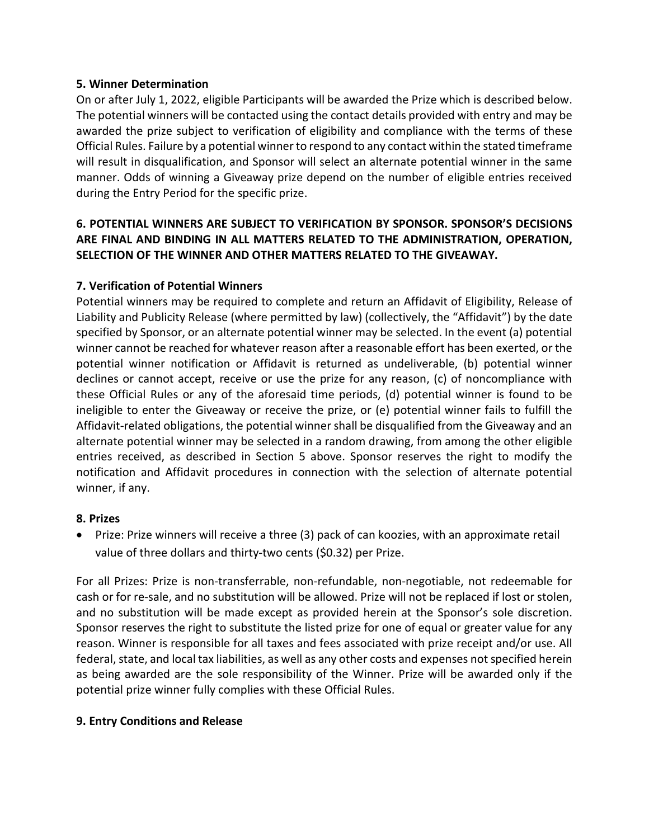#### **5. Winner Determination**

On or after July 1, 2022, eligible Participants will be awarded the Prize which is described below. The potential winners will be contacted using the contact details provided with entry and may be awarded the prize subject to verification of eligibility and compliance with the terms of these Official Rules. Failure by a potential winner to respond to any contact within the stated timeframe will result in disqualification, and Sponsor will select an alternate potential winner in the same manner. Odds of winning a Giveaway prize depend on the number of eligible entries received during the Entry Period for the specific prize.

# **6. POTENTIAL WINNERS ARE SUBJECT TO VERIFICATION BY SPONSOR. SPONSOR'S DECISIONS ARE FINAL AND BINDING IN ALL MATTERS RELATED TO THE ADMINISTRATION, OPERATION, SELECTION OF THE WINNER AND OTHER MATTERS RELATED TO THE GIVEAWAY.**

# **7. Verification of Potential Winners**

Potential winners may be required to complete and return an Affidavit of Eligibility, Release of Liability and Publicity Release (where permitted by law) (collectively, the "Affidavit") by the date specified by Sponsor, or an alternate potential winner may be selected. In the event (a) potential winner cannot be reached for whatever reason after a reasonable effort has been exerted, or the potential winner notification or Affidavit is returned as undeliverable, (b) potential winner declines or cannot accept, receive or use the prize for any reason, (c) of noncompliance with these Official Rules or any of the aforesaid time periods, (d) potential winner is found to be ineligible to enter the Giveaway or receive the prize, or (e) potential winner fails to fulfill the Affidavit-related obligations, the potential winner shall be disqualified from the Giveaway and an alternate potential winner may be selected in a random drawing, from among the other eligible entries received, as described in Section 5 above. Sponsor reserves the right to modify the notification and Affidavit procedures in connection with the selection of alternate potential winner, if any.

# **8. Prizes**

• Prize: Prize winners will receive a three (3) pack of can koozies, with an approximate retail value of three dollars and thirty-two cents (\$0.32) per Prize.

For all Prizes: Prize is non-transferrable, non-refundable, non-negotiable, not redeemable for cash or for re-sale, and no substitution will be allowed. Prize will not be replaced if lost or stolen, and no substitution will be made except as provided herein at the Sponsor's sole discretion. Sponsor reserves the right to substitute the listed prize for one of equal or greater value for any reason. Winner is responsible for all taxes and fees associated with prize receipt and/or use. All federal, state, and local tax liabilities, as well as any other costs and expenses not specified herein as being awarded are the sole responsibility of the Winner. Prize will be awarded only if the potential prize winner fully complies with these Official Rules.

#### **9. Entry Conditions and Release**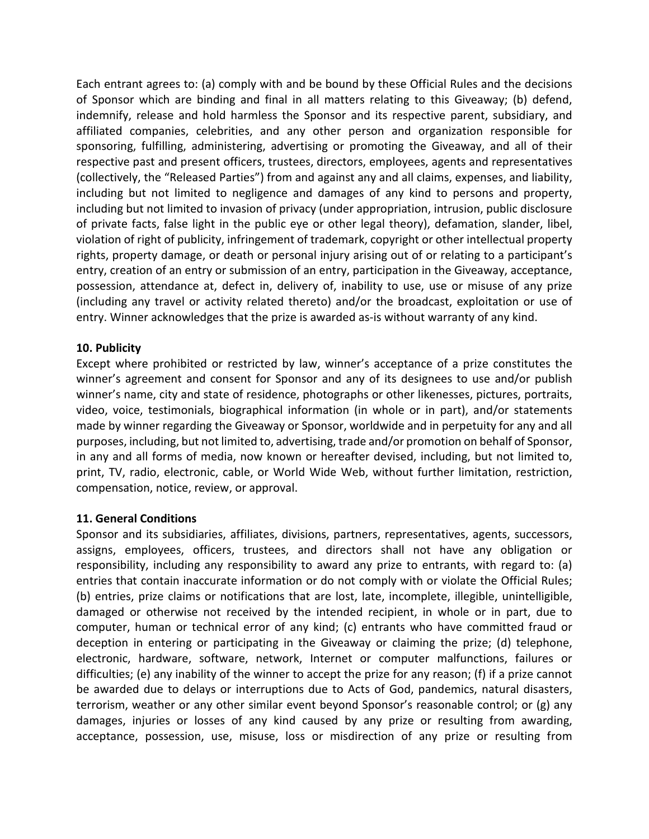Each entrant agrees to: (a) comply with and be bound by these Official Rules and the decisions of Sponsor which are binding and final in all matters relating to this Giveaway; (b) defend, indemnify, release and hold harmless the Sponsor and its respective parent, subsidiary, and affiliated companies, celebrities, and any other person and organization responsible for sponsoring, fulfilling, administering, advertising or promoting the Giveaway, and all of their respective past and present officers, trustees, directors, employees, agents and representatives (collectively, the "Released Parties") from and against any and all claims, expenses, and liability, including but not limited to negligence and damages of any kind to persons and property, including but not limited to invasion of privacy (under appropriation, intrusion, public disclosure of private facts, false light in the public eye or other legal theory), defamation, slander, libel, violation of right of publicity, infringement of trademark, copyright or other intellectual property rights, property damage, or death or personal injury arising out of or relating to a participant's entry, creation of an entry or submission of an entry, participation in the Giveaway, acceptance, possession, attendance at, defect in, delivery of, inability to use, use or misuse of any prize (including any travel or activity related thereto) and/or the broadcast, exploitation or use of entry. Winner acknowledges that the prize is awarded as-is without warranty of any kind.

#### **10. Publicity**

Except where prohibited or restricted by law, winner's acceptance of a prize constitutes the winner's agreement and consent for Sponsor and any of its designees to use and/or publish winner's name, city and state of residence, photographs or other likenesses, pictures, portraits, video, voice, testimonials, biographical information (in whole or in part), and/or statements made by winner regarding the Giveaway or Sponsor, worldwide and in perpetuity for any and all purposes, including, but not limited to, advertising, trade and/or promotion on behalf of Sponsor, in any and all forms of media, now known or hereafter devised, including, but not limited to, print, TV, radio, electronic, cable, or World Wide Web, without further limitation, restriction, compensation, notice, review, or approval.

#### **11. General Conditions**

Sponsor and its subsidiaries, affiliates, divisions, partners, representatives, agents, successors, assigns, employees, officers, trustees, and directors shall not have any obligation or responsibility, including any responsibility to award any prize to entrants, with regard to: (a) entries that contain inaccurate information or do not comply with or violate the Official Rules; (b) entries, prize claims or notifications that are lost, late, incomplete, illegible, unintelligible, damaged or otherwise not received by the intended recipient, in whole or in part, due to computer, human or technical error of any kind; (c) entrants who have committed fraud or deception in entering or participating in the Giveaway or claiming the prize; (d) telephone, electronic, hardware, software, network, Internet or computer malfunctions, failures or difficulties; (e) any inability of the winner to accept the prize for any reason; (f) if a prize cannot be awarded due to delays or interruptions due to Acts of God, pandemics, natural disasters, terrorism, weather or any other similar event beyond Sponsor's reasonable control; or (g) any damages, injuries or losses of any kind caused by any prize or resulting from awarding, acceptance, possession, use, misuse, loss or misdirection of any prize or resulting from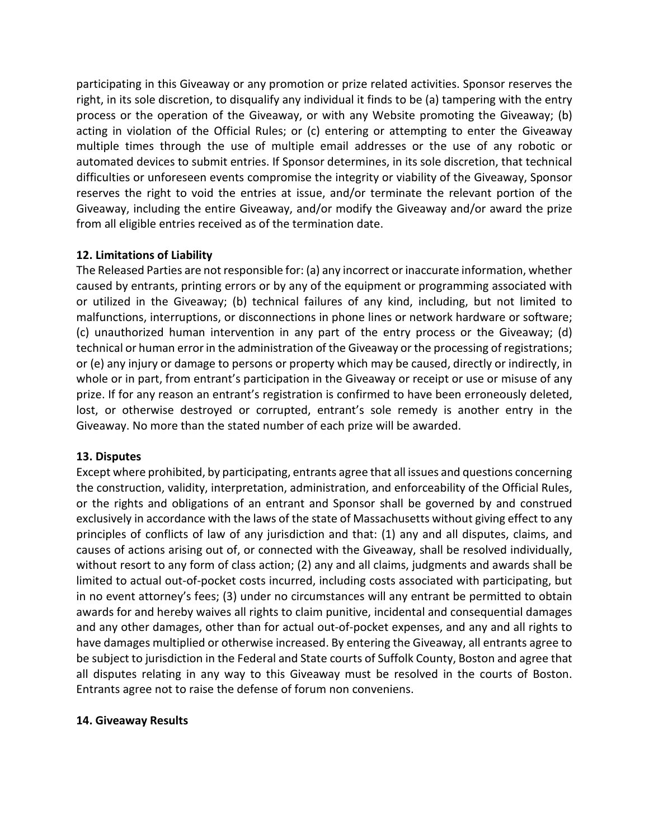participating in this Giveaway or any promotion or prize related activities. Sponsor reserves the right, in its sole discretion, to disqualify any individual it finds to be (a) tampering with the entry process or the operation of the Giveaway, or with any Website promoting the Giveaway; (b) acting in violation of the Official Rules; or (c) entering or attempting to enter the Giveaway multiple times through the use of multiple email addresses or the use of any robotic or automated devices to submit entries. If Sponsor determines, in its sole discretion, that technical difficulties or unforeseen events compromise the integrity or viability of the Giveaway, Sponsor reserves the right to void the entries at issue, and/or terminate the relevant portion of the Giveaway, including the entire Giveaway, and/or modify the Giveaway and/or award the prize from all eligible entries received as of the termination date.

### **12. Limitations of Liability**

The Released Parties are not responsible for: (a) any incorrect or inaccurate information, whether caused by entrants, printing errors or by any of the equipment or programming associated with or utilized in the Giveaway; (b) technical failures of any kind, including, but not limited to malfunctions, interruptions, or disconnections in phone lines or network hardware or software; (c) unauthorized human intervention in any part of the entry process or the Giveaway; (d) technical or human error in the administration of the Giveaway or the processing of registrations; or (e) any injury or damage to persons or property which may be caused, directly or indirectly, in whole or in part, from entrant's participation in the Giveaway or receipt or use or misuse of any prize. If for any reason an entrant's registration is confirmed to have been erroneously deleted, lost, or otherwise destroyed or corrupted, entrant's sole remedy is another entry in the Giveaway. No more than the stated number of each prize will be awarded.

# **13. Disputes**

Except where prohibited, by participating, entrants agree that all issues and questions concerning the construction, validity, interpretation, administration, and enforceability of the Official Rules, or the rights and obligations of an entrant and Sponsor shall be governed by and construed exclusively in accordance with the laws of the state of Massachusetts without giving effect to any principles of conflicts of law of any jurisdiction and that: (1) any and all disputes, claims, and causes of actions arising out of, or connected with the Giveaway, shall be resolved individually, without resort to any form of class action; (2) any and all claims, judgments and awards shall be limited to actual out-of-pocket costs incurred, including costs associated with participating, but in no event attorney's fees; (3) under no circumstances will any entrant be permitted to obtain awards for and hereby waives all rights to claim punitive, incidental and consequential damages and any other damages, other than for actual out-of-pocket expenses, and any and all rights to have damages multiplied or otherwise increased. By entering the Giveaway, all entrants agree to be subject to jurisdiction in the Federal and State courts of Suffolk County, Boston and agree that all disputes relating in any way to this Giveaway must be resolved in the courts of Boston. Entrants agree not to raise the defense of forum non conveniens.

#### **14. Giveaway Results**